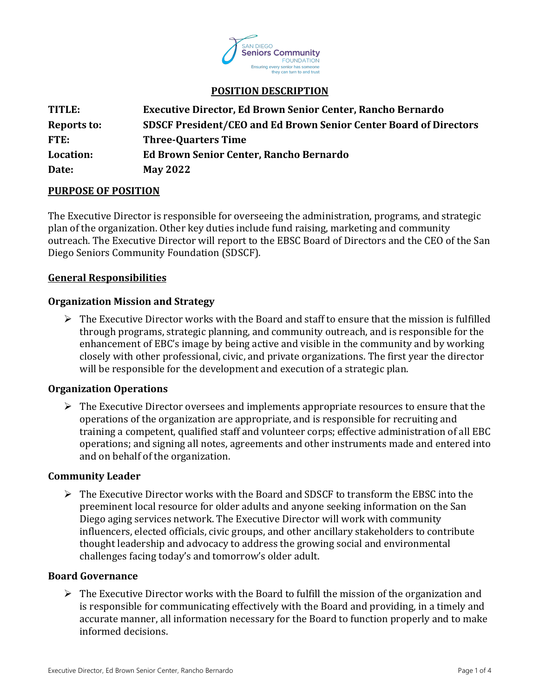

# **POSITION DESCRIPTION**

| TITLE:      | Executive Director, Ed Brown Senior Center, Rancho Bernardo              |
|-------------|--------------------------------------------------------------------------|
| Reports to: | <b>SDSCF President/CEO and Ed Brown Senior Center Board of Directors</b> |
| FTE:        | <b>Three-Quarters Time</b>                                               |
| Location:   | Ed Brown Senior Center, Rancho Bernardo                                  |
| Date:       | <b>May 2022</b>                                                          |

### **PURPOSE OF POSITION**

The Executive Director is responsible for overseeing the administration, programs, and strategic plan of the organization. Other key duties include fund raising, marketing and community outreach. The Executive Director will report to the EBSC Board of Directors and the CEO of the San Diego Seniors Community Foundation (SDSCF).

### **General Responsibilities**

### **Organization Mission and Strategy**

 $\triangleright$  The Executive Director works with the Board and staff to ensure that the mission is fulfilled through programs, strategic planning, and community outreach, and is responsible for the enhancement of EBC's image by being active and visible in the community and by working closely with other professional, civic, and private organizations. The first year the director will be responsible for the development and execution of a strategic plan.

### **Organization Operations**

 $\triangleright$  The Executive Director oversees and implements appropriate resources to ensure that the operations of the organization are appropriate, and is responsible for recruiting and training a competent, qualified staff and volunteer corps; effective administration of all EBC operations; and signing all notes, agreements and other instruments made and entered into and on behalf of the organization.

### **Community Leader**

 $\triangleright$  The Executive Director works with the Board and SDSCF to transform the EBSC into the preeminent local resource for older adults and anyone seeking information on the San Diego aging services network. The Executive Director will work with community influencers, elected officials, civic groups, and other ancillary stakeholders to contribute thought leadership and advocacy to address the growing social and environmental challenges facing today's and tomorrow's older adult.

### **Board Governance**

 $\triangleright$  The Executive Director works with the Board to fulfill the mission of the organization and is responsible for communicating effectively with the Board and providing, in a timely and accurate manner, all information necessary for the Board to function properly and to make informed decisions.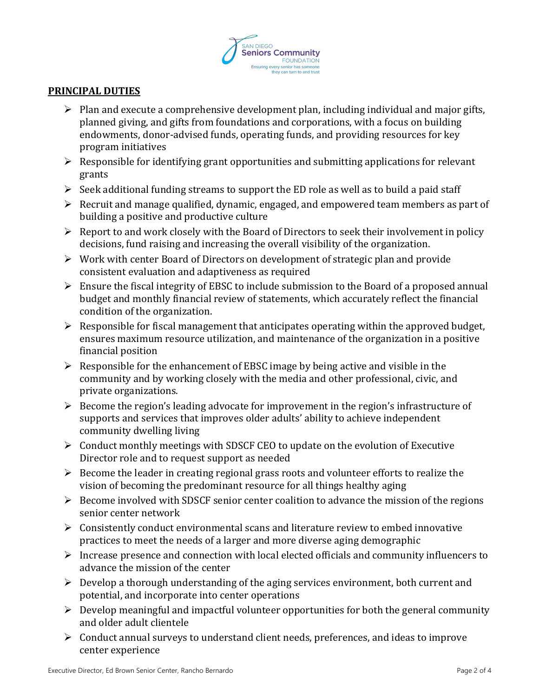

## **PRINCIPAL DUTIES**

- $\triangleright$  Plan and execute a comprehensive development plan, including individual and major gifts, planned giving, and gifts from foundations and corporations, with a focus on building endowments, donor-advised funds, operating funds, and providing resources for key program initiatives
- $\triangleright$  Responsible for identifying grant opportunities and submitting applications for relevant grants
- $\triangleright$  Seek additional funding streams to support the ED role as well as to build a paid staff
- $\triangleright$  Recruit and manage qualified, dynamic, engaged, and empowered team members as part of building a positive and productive culture
- $\triangleright$  Report to and work closely with the Board of Directors to seek their involvement in policy decisions, fund raising and increasing the overall visibility of the organization.
- $\triangleright$  Work with center Board of Directors on development of strategic plan and provide consistent evaluation and adaptiveness as required
- $\triangleright$  Ensure the fiscal integrity of EBSC to include submission to the Board of a proposed annual budget and monthly financial review of statements, which accurately reflect the financial condition of the organization.
- $\triangleright$  Responsible for fiscal management that anticipates operating within the approved budget, ensures maximum resource utilization, and maintenance of the organization in a positive financial position
- $\triangleright$  Responsible for the enhancement of EBSC image by being active and visible in the community and by working closely with the media and other professional, civic, and private organizations.
- $\triangleright$  Become the region's leading advocate for improvement in the region's infrastructure of supports and services that improves older adults' ability to achieve independent community dwelling living
- $\triangleright$  Conduct monthly meetings with SDSCF CEO to update on the evolution of Executive Director role and to request support as needed
- $\triangleright$  Become the leader in creating regional grass roots and volunteer efforts to realize the vision of becoming the predominant resource for all things healthy aging
- $\triangleright$  Become involved with SDSCF senior center coalition to advance the mission of the regions senior center network
- $\triangleright$  Consistently conduct environmental scans and literature review to embed innovative practices to meet the needs of a larger and more diverse aging demographic
- $\triangleright$  Increase presence and connection with local elected officials and community influencers to advance the mission of the center
- $\triangleright$  Develop a thorough understanding of the aging services environment, both current and potential, and incorporate into center operations
- $\triangleright$  Develop meaningful and impactful volunteer opportunities for both the general community and older adult clientele
- $\triangleright$  Conduct annual surveys to understand client needs, preferences, and ideas to improve center experience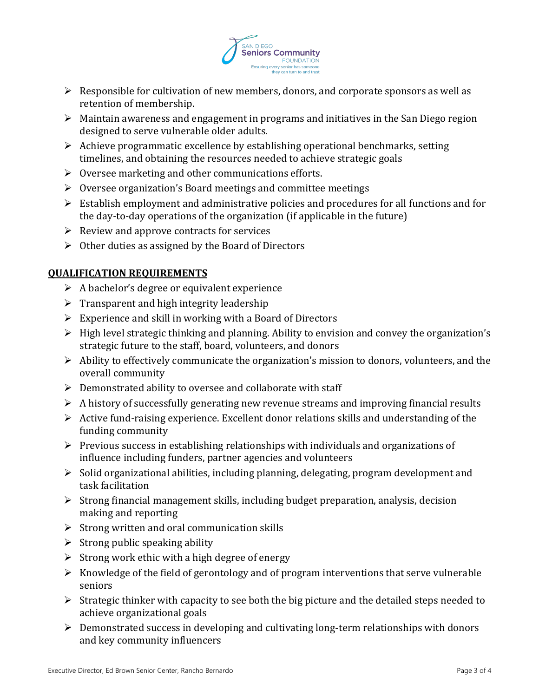

- $\triangleright$  Responsible for cultivation of new members, donors, and corporate sponsors as well as retention of membership.
- $\triangleright$  Maintain awareness and engagement in programs and initiatives in the San Diego region designed to serve vulnerable older adults.
- $\triangleright$  Achieve programmatic excellence by establishing operational benchmarks, setting timelines, and obtaining the resources needed to achieve strategic goals
- $\triangleright$  Oversee marketing and other communications efforts.
- $\triangleright$  Oversee organization's Board meetings and committee meetings
- $\triangleright$  Establish employment and administrative policies and procedures for all functions and for the day-to-day operations of the organization (if applicable in the future)
- $\triangleright$  Review and approve contracts for services
- $\triangleright$  Other duties as assigned by the Board of Directors

# **QUALIFICATION REQUIREMENTS**

- $\triangleright$  A bachelor's degree or equivalent experience
- $\triangleright$  Transparent and high integrity leadership
- $\triangleright$  Experience and skill in working with a Board of Directors
- $\triangleright$  High level strategic thinking and planning. Ability to envision and convey the organization's strategic future to the staff, board, volunteers, and donors
- $\triangleright$  Ability to effectively communicate the organization's mission to donors, volunteers, and the overall community
- $\triangleright$  Demonstrated ability to oversee and collaborate with staff
- $\triangleright$  A history of successfully generating new revenue streams and improving financial results
- $\triangleright$  Active fund-raising experience. Excellent donor relations skills and understanding of the funding community
- $\triangleright$  Previous success in establishing relationships with individuals and organizations of influence including funders, partner agencies and volunteers
- $\triangleright$  Solid organizational abilities, including planning, delegating, program development and task facilitation
- $\triangleright$  Strong financial management skills, including budget preparation, analysis, decision making and reporting
- $\triangleright$  Strong written and oral communication skills
- $\triangleright$  Strong public speaking ability
- $\triangleright$  Strong work ethic with a high degree of energy
- $\triangleright$  Knowledge of the field of gerontology and of program interventions that serve vulnerable seniors
- $\triangleright$  Strategic thinker with capacity to see both the big picture and the detailed steps needed to achieve organizational goals
- $\triangleright$  Demonstrated success in developing and cultivating long-term relationships with donors and key community influencers